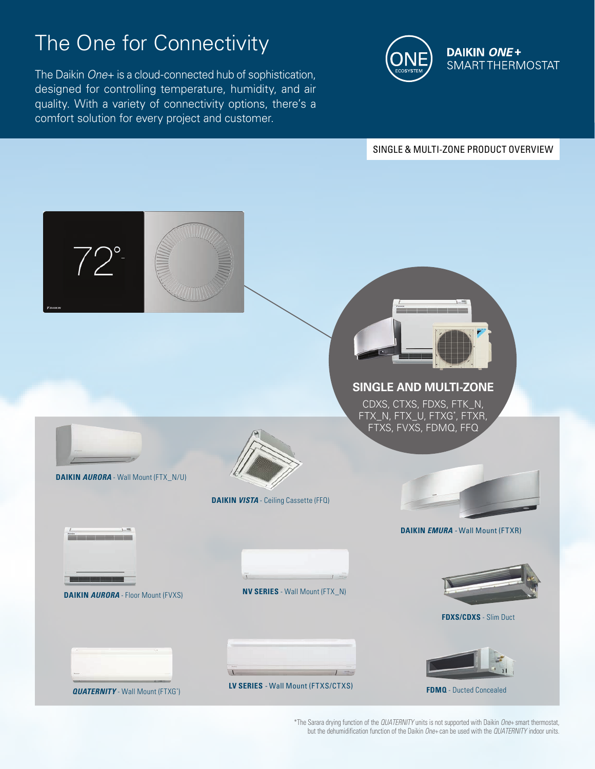## The One for Connectivity

The Daikin *One*+ is a cloud-connected hub of sophistication, designed for controlling temperature, humidity, and air quality. With a variety of connectivity options, there's a comfort solution for every project and customer.



SINGLE & MULTI-ZONE PRODUCT OVERVIEW



\*The Sarara drying function of the *QUATERNITY* units is not supported with Daikin *One+* smart thermostat, but the dehumidification function of the Daikin *One+* can be used with the *QUATERNITY* indoor units.